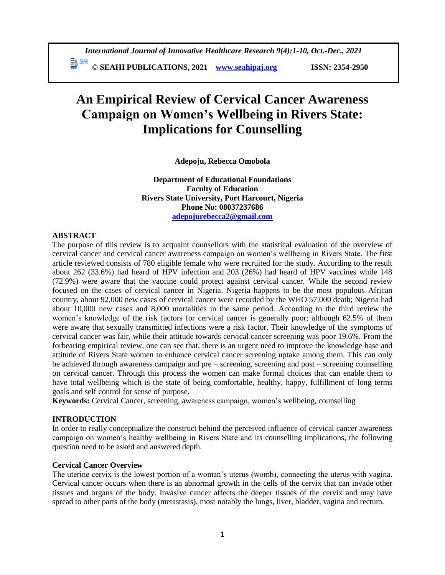# **An Empirical Review of Cervical Cancer Awareness Campaign on Women's Wellbeing in Rivers State: Implications for Counselling**

**Adepoju, Rebecca Omobola**

**Department of Educational Foundations Faculty of Education Rivers State University, Port Harcourt, Nigeria Phone No: 08037237686 [adepojurebecca2@gmail.com](mailto:adepojurebecca2@gmail.com)**

# **ABSTRACT**

The purpose of this review is to acquaint counsellors with the statistical evaluation of the overview of cervical cancer and cervical cancer awareness campaign on women's wellbeing in Rivers State. The first article reviewed consists of 780 eligible female who were recruited for the study. According to the result about 262 (33.6%) had heard of HPV infection and 203 (26%) had heard of HPV vaccines while 148 (72.9%) were aware that the vaccine could protect against cervical cancer. While the second review focused on the cases of cervical cancer in Nigeria. Nigeria happens to be the most populous African country, about 92,000 new cases of cervical cancer were recorded by the WHO 57,000 death; Nigeria had about 10,000 new cases and 8,000 mortalities in the same period. According to the third review the women's knowledge of the risk factors for cervical cancer is generally poor; although 62.5% of them were aware that sexually transmitted infections were a risk factor. Their knowledge of the symptoms of cervical cancer was fair, while their attitude towards cervical cancer screening was poor 19.6%. From the forbearing empirical review, one can see that, there is an urgent need to improve the knowledge base and attitude of Rivers State women to enhance cervical cancer screening uptake among them. This can only be achieved through awareness campaign and pre – screening, screening and post – screening counselling on cervical cancer. Through this process the women can make formal choices that can enable them to have total wellbeing which is the state of being comfortable, healthy, happy, fulfillment of long terms goals and self control for sense of purpose.

**Keywords:** Cervical Cancer, screening, awareness campaign, women's wellbeing, counselling

# **INTRODUCTION**

In order to really conceptualize the construct behind the perceived influence of cervical cancer awareness campaign on women's healthy wellbeing in Rivers State and its counselling implications, the following question need to be asked and answered depth.

# **Cervical Cancer Overview**

The uterine cervix is the lowest portion of a woman's uterus (womb), connecting the uterus with vagina. Cervical cancer occurs when there is an abnormal growth in the cells of the cervix that can invade other tissues and organs of the body. Invasive cancer affects the deeper tissues of the cervix and may have spread to other parts of the body (metastasis), most notably the lungs, liver, bladder, vagina and rectum.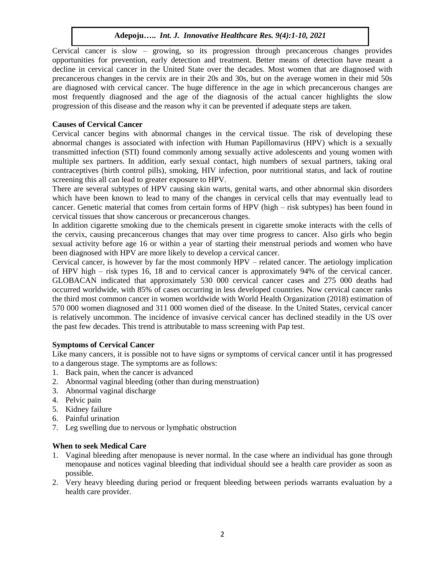Cervical cancer is slow – growing, so its progression through precancerous changes provides opportunities for prevention, early detection and treatment. Better means of detection have meant a decline in cervical cancer in the United State over the decades. Most women that are diagnosed with precancerous changes in the cervix are in their 20s and 30s, but on the average women in their mid 50s are diagnosed with cervical cancer. The huge difference in the age in which precancerous changes are most frequently diagnosed and the age of the diagnosis of the actual cancer highlights the slow progression of this disease and the reason why it can be prevented if adequate steps are taken.

# **Causes of Cervical Cancer**

Cervical cancer begins with abnormal changes in the cervical tissue. The risk of developing these abnormal changes is associated with infection with Human Papillomavirus (HPV) which is a sexually transmitted infection (STI) found commonly among sexually active adolescents and young women with multiple sex partners. In addition, early sexual contact, high numbers of sexual partners, taking oral contraceptives (birth control pills), smoking, HIV infection, poor nutritional status, and lack of routine screening this all can lead to greater exposure to HPV.

There are several subtypes of HPV causing skin warts, genital warts, and other abnormal skin disorders which have been known to lead to many of the changes in cervical cells that may eventually lead to cancer. Genetic material that comes from certain forms of HPV (high – risk subtypes) has been found in cervical tissues that show cancerous or precancerous changes.

In addition cigarette smoking due to the chemicals present in cigarette smoke interacts with the cells of the cervix, causing precancerous changes that may over time progress to cancer. Also girls who begin sexual activity before age 16 or within a year of starting their menstrual periods and women who have been diagnosed with HPV are more likely to develop a cervical cancer.

Cervical cancer, is however by far the most commonly HPV – related cancer. The aetiology implication of HPV high – risk types 16, 18 and to cervical cancer is approximately 94% of the cervical cancer. GLOBACAN indicated that approximately 530 000 cervical cancer cases and 275 000 deaths had occurred worldwide, with 85% of cases occurring in less developed countries. Now cervical cancer ranks the third most common cancer in women worldwide with World Health Organization (2018) estimation of 570 000 women diagnosed and 311 000 women died of the disease. In the United States, cervical cancer is relatively uncommon. The incidence of invasive cervical cancer has declined steadily in the US over the past few decades. This trend is attributable to mass screening with Pap test.

# **Symptoms of Cervical Cancer**

Like many cancers, it is possible not to have signs or symptoms of cervical cancer until it has progressed to a dangerous stage. The symptoms are as follows:

- 1. Back pain, when the cancer is advanced
- 2. Abnormal vaginal bleeding (other than during menstruation)
- 3. Abnormal vaginal discharge
- 4. Pelvic pain
- 5. Kidney failure
- 6. Painful urination
- 7. Leg swelling due to nervous or lymphatic obstruction

# **When to seek Medical Care**

- 1. Vaginal bleeding after menopause is never normal. In the case where an individual has gone through menopause and notices vaginal bleeding that individual should see a health care provider as soon as possible.
- 2. Very heavy bleeding during period or frequent bleeding between periods warrants evaluation by a health care provider.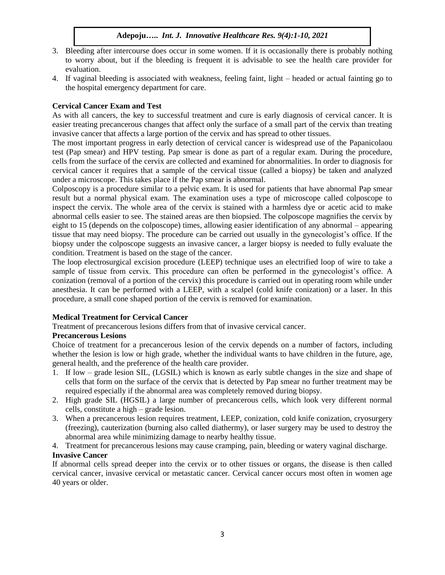- 3. Bleeding after intercourse does occur in some women. If it is occasionally there is probably nothing to worry about, but if the bleeding is frequent it is advisable to see the health care provider for evaluation.
- 4. If vaginal bleeding is associated with weakness, feeling faint, light headed or actual fainting go to the hospital emergency department for care.

# **Cervical Cancer Exam and Test**

As with all cancers, the key to successful treatment and cure is early diagnosis of cervical cancer. It is easier treating precancerous changes that affect only the surface of a small part of the cervix than treating invasive cancer that affects a large portion of the cervix and has spread to other tissues.

The most important progress in early detection of cervical cancer is widespread use of the Papanicolaou test (Pap smear) and HPV testing. Pap smear is done as part of a regular exam. During the procedure, cells from the surface of the cervix are collected and examined for abnormalities. In order to diagnosis for cervical cancer it requires that a sample of the cervical tissue (called a biopsy) be taken and analyzed under a microscope. This takes place if the Pap smear is abnormal.

Colposcopy is a procedure similar to a pelvic exam. It is used for patients that have abnormal Pap smear result but a normal physical exam. The examination uses a type of microscope called colposcope to inspect the cervix. The whole area of the cervix is stained with a harmless dye or acetic acid to make abnormal cells easier to see. The stained areas are then biopsied. The colposcope magnifies the cervix by eight to 15 (depends on the colposcope) times, allowing easier identification of any abnormal – appearing tissue that may need biopsy. The procedure can be carried out usually in the gynecologist's office. If the biopsy under the colposcope suggests an invasive cancer, a larger biopsy is needed to fully evaluate the condition. Treatment is based on the stage of the cancer.

The loop electrosurgical excision procedure (LEEP) technique uses an electrified loop of wire to take a sample of tissue from cervix. This procedure can often be performed in the gynecologist's office. A conization (removal of a portion of the cervix) this procedure is carried out in operating room while under anesthesia. It can be performed with a LEEP, with a scalpel (cold knife conization) or a laser. In this procedure, a small cone shaped portion of the cervix is removed for examination.

# **Medical Treatment for Cervical Cancer**

Treatment of precancerous lesions differs from that of invasive cervical cancer.

# **Precancerous Lesions**

Choice of treatment for a precancerous lesion of the cervix depends on a number of factors, including whether the lesion is low or high grade, whether the individual wants to have children in the future, age, general health, and the preference of the health care provider.

- 1. If low grade lesion SIL, (LGSIL) which is known as early subtle changes in the size and shape of cells that form on the surface of the cervix that is detected by Pap smear no further treatment may be required especially if the abnormal area was completely removed during biopsy.
- 2. High grade SIL (HGSIL) a large number of precancerous cells, which look very different normal cells, constitute a high – grade lesion.
- 3. When a precancerous lesion requires treatment, LEEP, conization, cold knife conization, cryosurgery (freezing), cauterization (burning also called diathermy), or laser surgery may be used to destroy the abnormal area while minimizing damage to nearby healthy tissue.
- 4. Treatment for precancerous lesions may cause cramping, pain, bleeding or watery vaginal discharge.

# **Invasive Cancer**

If abnormal cells spread deeper into the cervix or to other tissues or organs, the disease is then called cervical cancer, invasive cervical or metastatic cancer. Cervical cancer occurs most often in women age 40 years or older.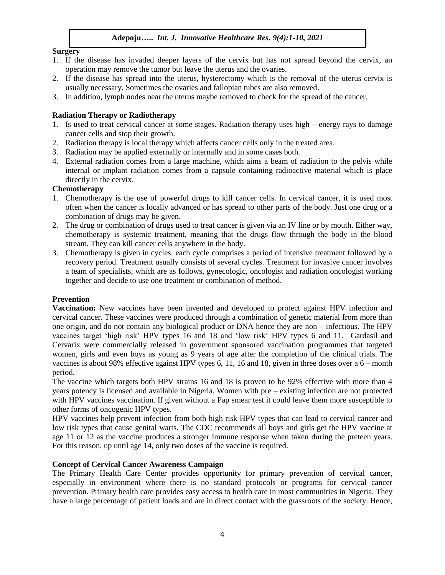# **Surgery**

- 1. If the disease has invaded deeper layers of the cervix but has not spread beyond the cervix, an operation may remove the tumor but leave the uterus and the ovaries.
- 2. If the disease has spread into the uterus, hysterectomy which is the removal of the uterus cervix is usually necessary. Sometimes the ovaries and fallopian tubes are also removed.
- 3. In addition, lymph nodes near the uterus maybe removed to check for the spread of the cancer.

## **Radiation Therapy or Radiotherapy**

- 1. Is used to treat cervical cancer at some stages. Radiation therapy uses high energy rays to damage cancer cells and stop their growth.
- 2. Radiation therapy is local therapy which affects cancer cells only in the treated area.
- 3. Radiation may be applied externally or internally and in some cases both.
- 4. External radiation comes from a large machine, which aims a beam of radiation to the pelvis while internal or implant radiation comes from a capsule containing radioactive material which is place directly in the cervix.

#### **Chemotherapy**

- 1. Chemotherapy is the use of powerful drugs to kill cancer cells. In cervical cancer, it is used most often when the cancer is locally advanced or has spread to other parts of the body. Just one drug or a combination of drugs may be given.
- 2. The drug or combination of drugs used to treat cancer is given via an IV line or by mouth. Either way, chemotherapy is systemic treatment, meaning that the drugs flow through the body in the blood stream. They can kill cancer cells anywhere in the body.
- 3. Chemotherapy is given in cycles: each cycle comprises a period of intensive treatment followed by a recovery period. Treatment usually consists of several cycles. Treatment for invasive cancer involves a team of specialists, which are as follows, gynecologic, oncologist and radiation oncologist working together and decide to use one treatment or combination of method.

# **Prevention**

**Vaccination:** New vaccines have been invented and developed to protect against HPV infection and cervical cancer. These vaccines were produced through a combination of genetic material from more than one origin, and do not contain any biological product or DNA hence they are non – infectious. The HPV vaccines target 'high risk' HPV types 16 and 18 and 'low risk' HPV types 6 and 11. Gardasil and Cervarix were commercially released in government sponsored vaccination programmes that targeted women, girls and even boys as young as 9 years of age after the completion of the clinical trials. The vaccines is about 98% effective against HPV types 6, 11, 16 and 18, given in three doses over a 6 – month period.

The vaccine which targets both HPV strains 16 and 18 is proven to be 92% effective with more than 4 years potency is licensed and available in Nigeria. Women with pre – existing infection are not protected with HPV vaccines vaccination. If given without a Pap smear test it could leave them more susceptible to other forms of oncogenic HPV types.

HPV vaccines help prevent infection from both high risk HPV types that can lead to cervical cancer and low risk types that cause genital warts. The CDC recommends all boys and girls get the HPV vaccine at age 11 or 12 as the vaccine produces a stronger immune response when taken during the preteen years. For this reason, up until age 14, only two doses of the vaccine is required.

# **Concept of Cervical Cancer Awareness Campaign**

The Primary Health Care Center provides opportunity for primary prevention of cervical cancer, especially in environment where there is no standard protocols or programs for cervical cancer prevention. Primary health care provides easy access to health care in most communities in Nigeria. They have a large percentage of patient loads and are in direct contact with the grassroots of the society. Hence,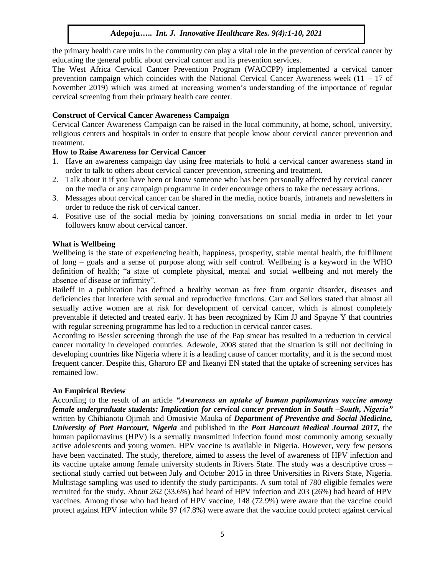the primary health care units in the community can play a vital role in the prevention of cervical cancer by educating the general public about cervical cancer and its prevention services.

The West Africa Cervical Cancer Prevention Program (WACCPP) implemented a cervical cancer prevention campaign which coincides with the National Cervical Cancer Awareness week  $(11 - 17)$  of November 2019) which was aimed at increasing women's understanding of the importance of regular cervical screening from their primary health care center.

## **Construct of Cervical Cancer Awareness Campaign**

Cervical Cancer Awareness Campaign can be raised in the local community, at home, school, university, religious centers and hospitals in order to ensure that people know about cervical cancer prevention and treatment.

# **How to Raise Awareness for Cervical Cancer**

- 1. Have an awareness campaign day using free materials to hold a cervical cancer awareness stand in order to talk to others about cervical cancer prevention, screening and treatment.
- 2. Talk about it if you have been or know someone who has been personally affected by cervical cancer on the media or any campaign programme in order encourage others to take the necessary actions.
- 3. Messages about cervical cancer can be shared in the media, notice boards, intranets and newsletters in order to reduce the risk of cervical cancer.
- 4. Positive use of the social media by joining conversations on social media in order to let your followers know about cervical cancer.

#### **What is Wellbeing**

Wellbeing is the state of experiencing health, happiness, prosperity, stable mental health, the fulfillment of long – goals and a sense of purpose along with self control. Wellbeing is a keyword in the WHO definition of health; "a state of complete physical, mental and social wellbeing and not merely the absence of disease or infirmity".

Baileff in a publication has defined a healthy woman as free from organic disorder, diseases and deficiencies that interfere with sexual and reproductive functions. Carr and Sellors stated that almost all sexually active women are at risk for development of cervical cancer, which is almost completely preventable if detected and treated early. It has been recognized by Kim JJ and Spayne Y that countries with regular screening programme has led to a reduction in cervical cancer cases.

According to Bessler screening through the use of the Pap smear has resulted in a reduction in cervical cancer mortality in developed countries. Adewole, 2008 stated that the situation is still not declining in developing countries like Nigeria where it is a leading cause of cancer mortality, and it is the second most frequent cancer. Despite this, Gharoro EP and Ikeanyi EN stated that the uptake of screening services has remained low.

#### **An Empirical Review**

According to the result of an article *"Awareness an uptake of human papilomavirus vaccine among female undergraduate students: Implication for cervical cancer prevention in South –South, Nigeria"* written by Chibianotu Ojimah and Omosivie Mauka of *Department of Preventive and Social Medicine, University of Port Harcourt, Nigeria* and published in the *Port Harcourt Medical Journal 2017,* the human papilomavirus (HPV) is a sexually transmitted infection found most commonly among sexually active adolescents and young women. HPV vaccine is available in Nigeria. However, very few persons have been vaccinated. The study, therefore, aimed to assess the level of awareness of HPV infection and its vaccine uptake among female university students in Rivers State. The study was a descriptive cross – sectional study carried out between July and October 2015 in three Universities in Rivers State, Nigeria. Multistage sampling was used to identify the study participants. A sum total of 780 eligible females were recruited for the study. About 262 (33.6%) had heard of HPV infection and 203 (26%) had heard of HPV vaccines. Among those who had heard of HPV vaccine, 148 (72.9%) were aware that the vaccine could protect against HPV infection while 97 (47.8%) were aware that the vaccine could protect against cervical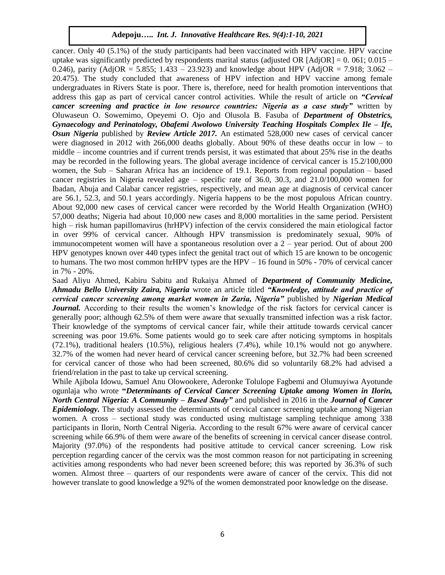cancer. Only 40 (5.1%) of the study participants had been vaccinated with HPV vaccine. HPV vaccine uptake was significantly predicted by respondents marital status (adjusted OR [AdjOR] =  $0.061$ ;  $0.015 -$ 0.246), parity (AdjOR = 5.855; 1.433 – 23.923) and knowledge about HPV (AdjOR = 7.918; 3.062 – 20.475). The study concluded that awareness of HPV infection and HPV vaccine among female undergraduates in Rivers State is poor. There is, therefore, need for health promotion interventions that address this gap as part of cervical cancer control activities. While the result of article on *"Cervical cancer screening and practice in low resource countries: Nigeria as a case study"* written by Oluwaseun O. Sowemimo, Opeyemi O. Ojo and Olusola B. Fasuba of *Department of Obstetrics, Gynaecology and Perinatology, Obafemi Awolowo University Teaching Hospitals Complex Ile – Ife, Osun Nigeria* published by *Review Article 2017.* An estimated 528,000 new cases of cervical cancer were diagnosed in 2012 with 266,000 deaths globally. About 90% of these deaths occur in low – to middle – income countries and if current trends persist, it was estimated that about 25% rise in the deaths may be recorded in the following years. The global average incidence of cervical cancer is 15.2/100,000 women, the Sub – Saharan Africa has an incidence of 19.1. Reports from regional population – based cancer registries in Nigeria revealed age – specific rate of 36.0, 30.3, and 21.0/100,000 women for Ibadan, Abuja and Calabar cancer registries, respectively, and mean age at diagnosis of cervical cancer are 56.1, 52.3, and 50.1 years accordingly. Nigeria happens to be the most populous African country. About 92,000 new cases of cervical cancer were recorded by the World Health Organization (WHO) 57,000 deaths; Nigeria had about 10,000 new cases and 8,000 mortalities in the same period. Persistent high – risk human papillomavirus (hrHPV) infection of the cervix considered the main etiological factor in over 99% of cervical cancer. Although HPV transmission is predominately sexual, 90% of immunocompetent women will have a spontaneous resolution over a 2 – year period. Out of about 200 HPV genotypes known over 440 types infect the genital tract out of which 15 are known to be oncogenic to humans. The two most common hrHPV types are the HPV – 16 found in 50% - 70% of cervical cancer in 7% - 20%.

Saad Aliyu Ahmed, Kabiru Sabitu and Rukaiya Ahmed of *Department of Community Medicine, Ahmadu Bello University Zaira, Nigeria* wrote an article titled *"Knowledge, attitude and practice of cervical cancer screening among market women in Zaria, Nigeria"* published by *Nigerian Medical Journal.* According to their results the women's knowledge of the risk factors for cervical cancer is generally poor; although 62.5% of them were aware that sexually transmitted infection was a risk factor. Their knowledge of the symptoms of cervical cancer fair, while their attitude towards cervical cancer screening was poor 19.6%. Some patients would go to seek care after noticing symptoms in hospitals (72.1%), traditional healers (10.5%), religious healers (7.4%), while 10.1% would not go anywhere. 32.7% of the women had never heard of cervical cancer screening before, but 32.7% had been screened for cervical cancer of those who had been screened, 80.6% did so voluntarily 68.2% had advised a friend/relation in the past to take up cervical screening.

While Ajibola Idowu, Samuel Anu Olowookere, Aderonke Tolulope Fagbemi and Olumuyiwa Ayotunde ogunlaja who wrote **"***Determinants of Cervical Cancer Screening Uptake among Women in Ilorin, North Central Nigeria: A Community – Based Study"* and published in 2016 in the *Journal of Cancer Epidemiology.* The study assessed the determinants of cervical cancer screening uptake among Nigerian women. A cross – sectional study was conducted using multistage sampling technique among 338 participants in Ilorin, North Central Nigeria. According to the result 67% were aware of cervical cancer screening while 66.9% of them were aware of the benefits of screening in cervical cancer disease control. Majority (97.0%) of the respondents had positive attitude to cervical cancer screening. Low risk perception regarding cancer of the cervix was the most common reason for not participating in screening activities among respondents who had never been screened before; this was reported by 36.3% of such women. Almost three – quarters of our respondents were aware of cancer of the cervix. This did not however translate to good knowledge a 92% of the women demonstrated poor knowledge on the disease.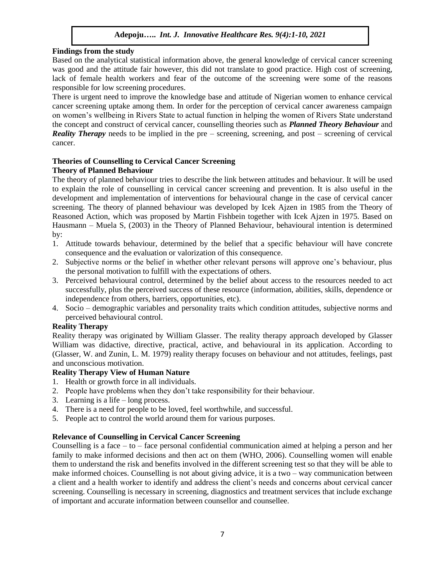### **Findings from the study**

Based on the analytical statistical information above, the general knowledge of cervical cancer screening was good and the attitude fair however, this did not translate to good practice. High cost of screening, lack of female health workers and fear of the outcome of the screening were some of the reasons responsible for low screening procedures.

There is urgent need to improve the knowledge base and attitude of Nigerian women to enhance cervical cancer screening uptake among them. In order for the perception of cervical cancer awareness campaign on women's wellbeing in Rivers State to actual function in helping the women of Rivers State understand the concept and construct of cervical cancer, counselling theories such as *Planned Theory Behaviour* and *Reality Therapy* needs to be implied in the pre – screening, screening, and post – screening of cervical cancer.

#### **Theories of Counselling to Cervical Cancer Screening**

#### **Theory of Planned Behaviour**

The theory of planned behaviour tries to describe the link between attitudes and behaviour. It will be used to explain the role of counselling in cervical cancer screening and prevention. It is also useful in the development and implementation of interventions for behavioural change in the case of cervical cancer screening. The theory of planned behaviour was developed by Icek Ajzen in 1985 from the Theory of Reasoned Action, which was proposed by Martin Fishbein together with Icek Ajzen in 1975. Based on Hausmann – Muela S, (2003) in the Theory of Planned Behaviour, behavioural intention is determined by:

- 1. Attitude towards behaviour, determined by the belief that a specific behaviour will have concrete consequence and the evaluation or valorization of this consequence.
- 2. Subjective norms or the belief in whether other relevant persons will approve one's behaviour, plus the personal motivation to fulfill with the expectations of others.
- 3. Perceived behavioural control, determined by the belief about access to the resources needed to act successfully, plus the perceived success of these resource (information, abilities, skills, dependence or independence from others, barriers, opportunities, etc).
- 4. Socio demographic variables and personality traits which condition attitudes, subjective norms and perceived behavioural control.

#### **Reality Therapy**

Reality therapy was originated by William Glasser. The reality therapy approach developed by Glasser William was didactive, directive, practical, active, and behavioural in its application. According to (Glasser, W. and Zunin, L. M. 1979) reality therapy focuses on behaviour and not attitudes, feelings, past and unconscious motivation.

#### **Reality Therapy View of Human Nature**

- 1. Health or growth force in all individuals.
- 2. People have problems when they don't take responsibility for their behaviour.
- 3. Learning is a life long process.
- 4. There is a need for people to be loved, feel worthwhile, and successful.
- 5. People act to control the world around them for various purposes.

#### **Relevance of Counselling in Cervical Cancer Screening**

Counselling is a face  $-$  to  $-$  face personal confidential communication aimed at helping a person and her family to make informed decisions and then act on them (WHO, 2006). Counselling women will enable them to understand the risk and benefits involved in the different screening test so that they will be able to make informed choices. Counselling is not about giving advice, it is a two – way communication between a client and a health worker to identify and address the client's needs and concerns about cervical cancer screening. Counselling is necessary in screening, diagnostics and treatment services that include exchange of important and accurate information between counsellor and counsellee.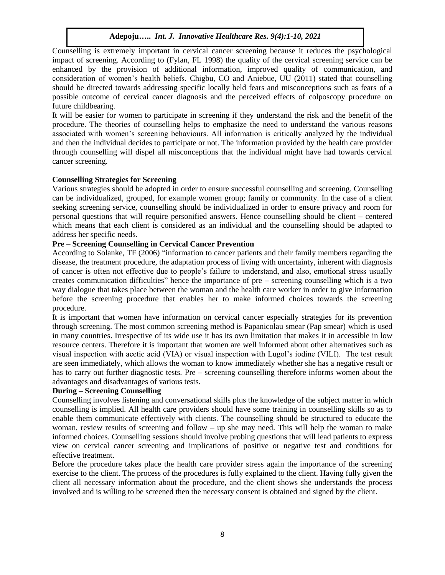Counselling is extremely important in cervical cancer screening because it reduces the psychological impact of screening. According to (Fylan, FL 1998) the quality of the cervical screening service can be enhanced by the provision of additional information, improved quality of communication, and consideration of women's health beliefs. Chigbu, CO and Aniebue, UU (2011) stated that counselling should be directed towards addressing specific locally held fears and misconceptions such as fears of a possible outcome of cervical cancer diagnosis and the perceived effects of colposcopy procedure on future childbearing.

It will be easier for women to participate in screening if they understand the risk and the benefit of the procedure. The theories of counselling helps to emphasize the need to understand the various reasons associated with women's screening behaviours. All information is critically analyzed by the individual and then the individual decides to participate or not. The information provided by the health care provider through counselling will dispel all misconceptions that the individual might have had towards cervical cancer screening.

# **Counselling Strategies for Screening**

Various strategies should be adopted in order to ensure successful counselling and screening. Counselling can be individualized, grouped, for example women group; family or community. In the case of a client seeking screening service, counselling should be individualized in order to ensure privacy and room for personal questions that will require personified answers. Hence counselling should be client – centered which means that each client is considered as an individual and the counselling should be adapted to address her specific needs.

# **Pre – Screening Counselling in Cervical Cancer Prevention**

According to Solanke, TF (2006) "information to cancer patients and their family members regarding the disease, the treatment procedure, the adaptation process of living with uncertainty, inherent with diagnosis of cancer is often not effective due to people's failure to understand, and also, emotional stress usually creates communication difficulties" hence the importance of pre – screening counselling which is a two way dialogue that takes place between the woman and the health care worker in order to give information before the screening procedure that enables her to make informed choices towards the screening procedure.

It is important that women have information on cervical cancer especially strategies for its prevention through screening. The most common screening method is Papanicolau smear (Pap smear) which is used in many countries. Irrespective of its wide use it has its own limitation that makes it in accessible in low resource centers. Therefore it is important that women are well informed about other alternatives such as visual inspection with acetic acid (VIA) or visual inspection with Lugol's iodine (VILI). The test result are seen immediately, which allows the woman to know immediately whether she has a negative result or has to carry out further diagnostic tests. Pre – screening counselling therefore informs women about the advantages and disadvantages of various tests.

# **During – Screening Counselling**

Counselling involves listening and conversational skills plus the knowledge of the subject matter in which counselling is implied. All health care providers should have some training in counselling skills so as to enable them communicate effectively with clients. The counselling should be structured to educate the woman, review results of screening and follow – up she may need. This will help the woman to make informed choices. Counselling sessions should involve probing questions that will lead patients to express view on cervical cancer screening and implications of positive or negative test and conditions for effective treatment.

Before the procedure takes place the health care provider stress again the importance of the screening exercise to the client. The process of the procedures is fully explained to the client. Having fully given the client all necessary information about the procedure, and the client shows she understands the process involved and is willing to be screened then the necessary consent is obtained and signed by the client.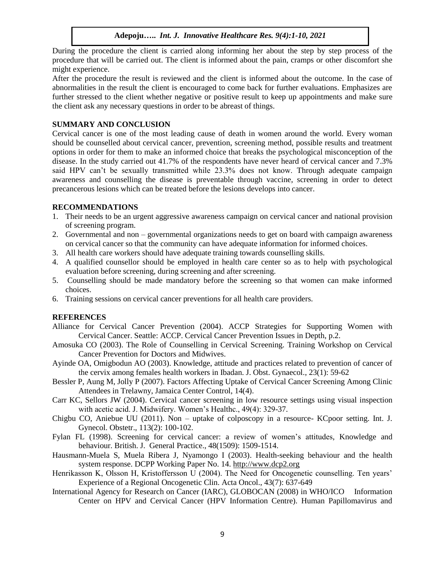During the procedure the client is carried along informing her about the step by step process of the procedure that will be carried out. The client is informed about the pain, cramps or other discomfort she might experience.

After the procedure the result is reviewed and the client is informed about the outcome. In the case of abnormalities in the result the client is encouraged to come back for further evaluations. Emphasizes are further stressed to the client whether negative or positive result to keep up appointments and make sure the client ask any necessary questions in order to be abreast of things.

# **SUMMARY AND CONCLUSION**

Cervical cancer is one of the most leading cause of death in women around the world. Every woman should be counselled about cervical cancer, prevention, screening method, possible results and treatment options in order for them to make an informed choice that breaks the psychological misconception of the disease. In the study carried out 41.7% of the respondents have never heard of cervical cancer and 7.3% said HPV can't be sexually transmitted while 23.3% does not know. Through adequate campaign awareness and counselling the disease is preventable through vaccine, screening in order to detect precancerous lesions which can be treated before the lesions develops into cancer.

# **RECOMMENDATIONS**

- 1. Their needs to be an urgent aggressive awareness campaign on cervical cancer and national provision of screening program.
- 2. Governmental and non governmental organizations needs to get on board with campaign awareness on cervical cancer so that the community can have adequate information for informed choices.
- 3. All health care workers should have adequate training towards counselling skills.
- 4. A qualified counsellor should be employed in health care center so as to help with psychological evaluation before screening, during screening and after screening.
- 5. Counselling should be made mandatory before the screening so that women can make informed choices.
- 6. Training sessions on cervical cancer preventions for all health care providers.

# **REFERENCES**

- Alliance for Cervical Cancer Prevention (2004). ACCP Strategies for Supporting Women with Cervical Cancer. Seattle: ACCP. Cervical Cancer Prevention Issues in Depth, p.2.
- Amosuka CO (2003). The Role of Counselling in Cervical Screening. Training Workshop on Cervical Cancer Prevention for Doctors and Midwives.
- Ayinde OA, Omigbodun AO (2003). Knowledge, attitude and practices related to prevention of cancer of the cervix among females health workers in Ibadan. J. Obst. Gynaecol., 23(1): 59-62
- Bessler P, Aung M, Jolly P (2007). Factors Affecting Uptake of Cervical Cancer Screening Among Clinic Attendees in Trelawny, Jamaica Center Control, 14(4).
- Carr KC, Sellors JW (2004). Cervical cancer screening in low resource settings using visual inspection with acetic acid. J. Midwifery. Women's Healthc., 49(4): 329-37.
- Chigbu CO, Aniebue UU (2011). Non uptake of colposcopy in a resource- KCpoor setting. Int. J. Gynecol. Obstetr., 113(2): 100-102.
- Fylan FL (1998). Screening for cervical cancer: a review of women's attitudes, Knowledge and behaviour. British. J. General Practice., 48(1509): 1509-1514.
- Hausmann-Muela S, Muela Ribera J, Nyamongo I (2003). Health-seeking behaviour and the health system response. DCPP Working Paper No. 14[. http://www.dcp2.org](http://www.dcp2.org/)
- Henrikasson K, Olsson H, Kristoffersson U (2004). The Need for Oncogenetic counselling. Ten years' Experience of a Regional Oncogenetic Clin. Acta Oncol., 43(7): 637-649
- International Agency for Research on Cancer (IARC), GLOBOCAN (2008) in WHO/ICO Information Center on HPV and Cervical Cancer (HPV Information Centre). Human Papillomavirus and